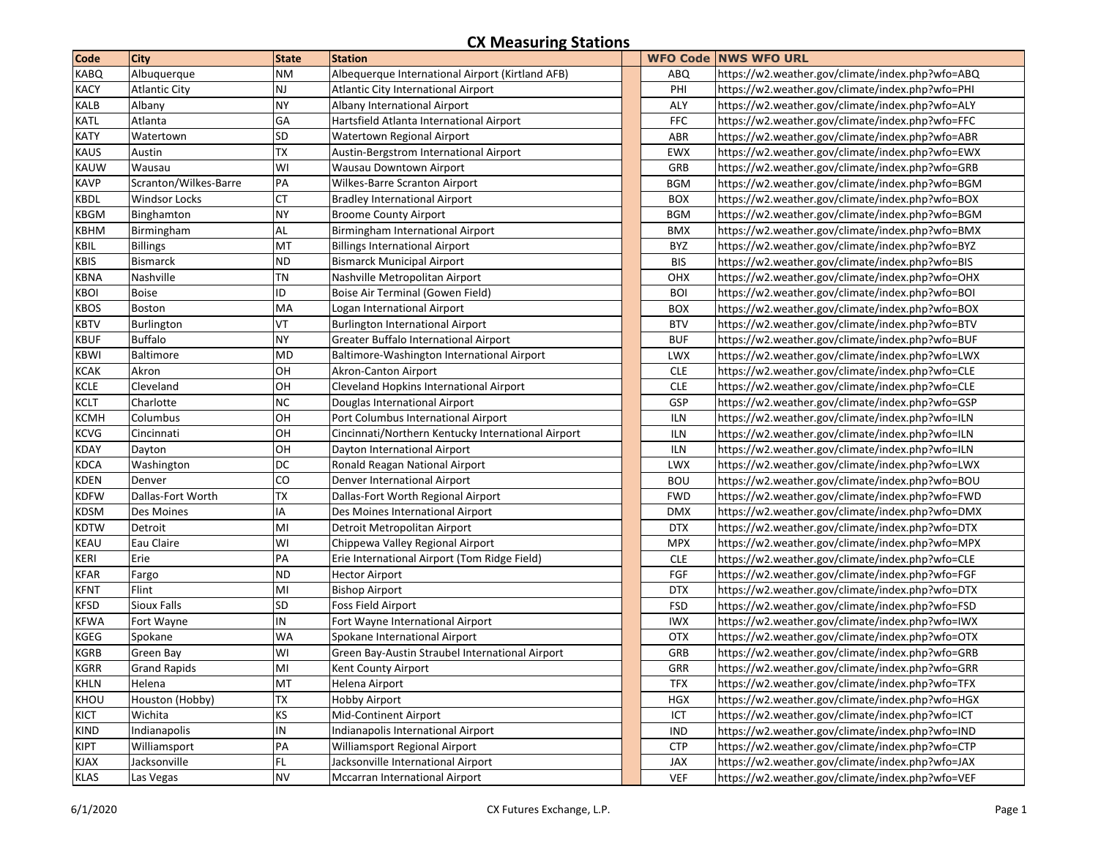## **CX Measuring Stations**

| <b>Code</b> | <b>City</b>           | <b>State</b>  | <b>Station</b>                                     |            | <b>WFO Code NWS WFO URL</b>                      |
|-------------|-----------------------|---------------|----------------------------------------------------|------------|--------------------------------------------------|
| <b>KABQ</b> | Albuquerque           | <b>NM</b>     | Albequerque International Airport (Kirtland AFB)   | <b>ABQ</b> | https://w2.weather.gov/climate/index.php?wfo=ABQ |
| <b>KACY</b> | <b>Atlantic City</b>  | $\mathsf{NJ}$ | <b>Atlantic City International Airport</b>         | PHI        | https://w2.weather.gov/climate/index.php?wfo=PHI |
| <b>KALB</b> | Albany                | <b>NY</b>     | Albany International Airport                       | ALY        | https://w2.weather.gov/climate/index.php?wfo=ALY |
| <b>KATL</b> | Atlanta               | GA            | Hartsfield Atlanta International Airport           | <b>FFC</b> | https://w2.weather.gov/climate/index.php?wfo=FFC |
| <b>KATY</b> | Watertown             | SD            | Watertown Regional Airport                         | ABR        | https://w2.weather.gov/climate/index.php?wfo=ABR |
| <b>KAUS</b> | Austin                | <b>TX</b>     | Austin-Bergstrom International Airport             | EWX        | https://w2.weather.gov/climate/index.php?wfo=EWX |
| <b>KAUW</b> | Wausau                | WI            | Wausau Downtown Airport                            | GRB        | https://w2.weather.gov/climate/index.php?wfo=GRB |
| <b>KAVP</b> | Scranton/Wilkes-Barre | PA            | Wilkes-Barre Scranton Airport                      | <b>BGM</b> | https://w2.weather.gov/climate/index.php?wfo=BGM |
| <b>KBDL</b> | <b>Windsor Locks</b>  | СT            | <b>Bradley International Airport</b>               | <b>BOX</b> | https://w2.weather.gov/climate/index.php?wfo=BOX |
| <b>KBGM</b> | Binghamton            | <b>NY</b>     | <b>Broome County Airport</b>                       | <b>BGM</b> | https://w2.weather.gov/climate/index.php?wfo=BGM |
| <b>KBHM</b> | Birmingham            | AL            | Birmingham International Airport                   | <b>BMX</b> | https://w2.weather.gov/climate/index.php?wfo=BMX |
| <b>KBIL</b> | <b>Billings</b>       | MT            | <b>Billings International Airport</b>              | BYZ        | https://w2.weather.gov/climate/index.php?wfo=BYZ |
| <b>KBIS</b> | <b>Bismarck</b>       | ND            | <b>Bismarck Municipal Airport</b>                  | <b>BIS</b> | https://w2.weather.gov/climate/index.php?wfo=BIS |
| <b>KBNA</b> | Nashville             | <b>TN</b>     | Nashville Metropolitan Airport                     | OHX        | https://w2.weather.gov/climate/index.php?wfo=OHX |
| <b>KBOI</b> | <b>Boise</b>          | ID            | Boise Air Terminal (Gowen Field)                   | <b>BOI</b> | https://w2.weather.gov/climate/index.php?wfo=BOI |
| <b>KBOS</b> | Boston                | MA            | Logan International Airport                        | <b>BOX</b> | https://w2.weather.gov/climate/index.php?wfo=BOX |
| <b>KBTV</b> | Burlington            | VT            | <b>Burlington International Airport</b>            | <b>BTV</b> | https://w2.weather.gov/climate/index.php?wfo=BTV |
| <b>KBUF</b> | <b>Buffalo</b>        | <b>NY</b>     | <b>Greater Buffalo International Airport</b>       | <b>BUF</b> | https://w2.weather.gov/climate/index.php?wfo=BUF |
| <b>KBWI</b> | Baltimore             | <b>MD</b>     | Baltimore-Washington International Airport         | <b>LWX</b> | https://w2.weather.gov/climate/index.php?wfo=LWX |
| <b>KCAK</b> | Akron                 | OH            | Akron-Canton Airport                               | <b>CLE</b> | https://w2.weather.gov/climate/index.php?wfo=CLE |
| <b>KCLE</b> | Cleveland             | OH            | Cleveland Hopkins International Airport            | <b>CLE</b> | https://w2.weather.gov/climate/index.php?wfo=CLE |
| <b>KCLT</b> | Charlotte             | NC            | Douglas International Airport                      | GSP        | https://w2.weather.gov/climate/index.php?wfo=GSP |
| <b>KCMH</b> | Columbus              | OH            | Port Columbus International Airport                | <b>ILN</b> | https://w2.weather.gov/climate/index.php?wfo=ILN |
| <b>KCVG</b> | Cincinnati            | OH            | Cincinnati/Northern Kentucky International Airport | <b>ILN</b> | https://w2.weather.gov/climate/index.php?wfo=ILN |
| <b>KDAY</b> | Dayton                | OH            | Dayton International Airport                       | ILN        | https://w2.weather.gov/climate/index.php?wfo=ILN |
| <b>KDCA</b> | Washington            | DC            | Ronald Reagan National Airport                     | <b>LWX</b> | https://w2.weather.gov/climate/index.php?wfo=LWX |
| <b>KDEN</b> | Denver                | CO            | Denver International Airport                       | <b>BOU</b> | https://w2.weather.gov/climate/index.php?wfo=BOU |
| <b>KDFW</b> | Dallas-Fort Worth     | <b>TX</b>     | Dallas-Fort Worth Regional Airport                 | <b>FWD</b> | https://w2.weather.gov/climate/index.php?wfo=FWD |
| <b>KDSM</b> | Des Moines            | ΙA            | Des Moines International Airport                   | <b>DMX</b> | https://w2.weather.gov/climate/index.php?wfo=DMX |
| <b>KDTW</b> | Detroit               | MI            | Detroit Metropolitan Airport                       | <b>DTX</b> | https://w2.weather.gov/climate/index.php?wfo=DTX |
| <b>KEAU</b> | Eau Claire            | WI            | Chippewa Valley Regional Airport                   | <b>MPX</b> | https://w2.weather.gov/climate/index.php?wfo=MPX |
| <b>KERI</b> | Erie                  | PA            | Erie International Airport (Tom Ridge Field)       | <b>CLE</b> | https://w2.weather.gov/climate/index.php?wfo=CLE |
| <b>KFAR</b> | Fargo                 | <b>ND</b>     | <b>Hector Airport</b>                              | FGF        | https://w2.weather.gov/climate/index.php?wfo=FGF |
| <b>KFNT</b> | Flint                 | MI            | <b>Bishop Airport</b>                              | <b>DTX</b> | https://w2.weather.gov/climate/index.php?wfo=DTX |
| <b>KFSD</b> | <b>Sioux Falls</b>    | SD            | Foss Field Airport                                 | <b>FSD</b> | https://w2.weather.gov/climate/index.php?wfo=FSD |
| <b>KFWA</b> | Fort Wayne            | IN            | Fort Wayne International Airport                   | <b>IWX</b> | https://w2.weather.gov/climate/index.php?wfo=IWX |
| <b>KGEG</b> | Spokane               | <b>WA</b>     | Spokane International Airport                      | <b>OTX</b> | https://w2.weather.gov/climate/index.php?wfo=OTX |
| <b>KGRB</b> | Green Bay             | WI            | Green Bay-Austin Straubel International Airport    | GRB        | https://w2.weather.gov/climate/index.php?wfo=GRB |
| <b>KGRR</b> | <b>Grand Rapids</b>   | MI            | Kent County Airport                                | GRR        | https://w2.weather.gov/climate/index.php?wfo=GRR |
| <b>KHLN</b> | Helena                | MT            | Helena Airport                                     | <b>TFX</b> | https://w2.weather.gov/climate/index.php?wfo=TFX |
| KHOU        | Houston (Hobby)       | <b>TX</b>     | <b>Hobby Airport</b>                               | <b>HGX</b> | https://w2.weather.gov/climate/index.php?wfo=HGX |
| <b>KICT</b> | Wichita               | KS            | Mid-Continent Airport                              | ICT        | https://w2.weather.gov/climate/index.php?wfo=ICT |
| <b>KIND</b> | Indianapolis          | IN            | Indianapolis International Airport                 | <b>IND</b> | https://w2.weather.gov/climate/index.php?wfo=IND |
| <b>KIPT</b> | Williamsport          | PA            | Williamsport Regional Airport                      | <b>CTP</b> | https://w2.weather.gov/climate/index.php?wfo=CTP |
| <b>KJAX</b> | Jacksonville          | FL.           | Jacksonville International Airport                 | JAX        | https://w2.weather.gov/climate/index.php?wfo=JAX |
| <b>KLAS</b> | Las Vegas             | <b>NV</b>     | Mccarran International Airport                     | <b>VEF</b> | https://w2.weather.gov/climate/index.php?wfo=VEF |